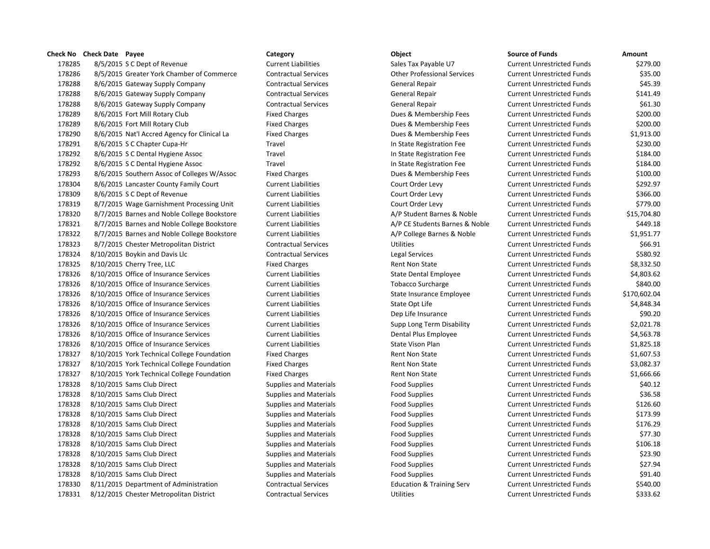8/5/2015 S C Dept of Revenue Current Liabilities Sales Tax Payable U7 Current Unrestricted Funds \$279.00 8/5/2015 Greater York Chamber of Commerce Contractual Services Other Professional Services Current Unrestricted Funds \$35.00 8/6/2015 Gateway Supply Company Contractual Services General Repair Current Unrestricted Funds \$45.39 8/6/2015 Gateway Supply Company Contractual Services General Repair Current Unrestricted Funds \$141.49 8/6/2015 Gateway Supply Company Contractual Services General Repair Current Unrestricted Funds \$61.30 8/6/2015 Fort Mill Rotary Club Fixed Charges Dues & Membership Fees Current Unrestricted Funds \$200.00 8/6/2015 Fort Mill Rotary Club Fixed Charges Dues & Membership Fees Current Unrestricted Funds \$200.00 8/6/2015 Nat'l Accred Agency for Clinical La Fixed Charges Dues & Membership Fees Current Unrestricted Funds \$1,913.00 178291 8/6/2015 S C Chapter Cupa-Hr **Chapter Cupa-Hr** Travel Travel **In State Registration Fee** Current Unrestricted Funds \$230.00 178292 8/6/2015 S C Dental Hygiene Assoc Travel Travel Travel In State Registration Fee Current Unrestricted Funds \$184.00 178292 8/6/2015 S C Dental Hygiene Assoc Travel Travel Travel In State Registration Fee Current Unrestricted Funds \$184.00 8/6/2015 Southern Assoc of Colleges W/Assoc Fixed Charges Dues & Membership Fees Current Unrestricted Funds \$100.00 8/6/2015 Lancaster County Family Court Current Liabilities Court Order Levy Current Unrestricted Funds \$292.97 8/6/2015 S C Dept of Revenue Current Liabilities Court Order Levy Current Unrestricted Funds \$366.00 8/7/2015 Wage Garnishment Processing Unit Current Liabilities Court Order Levy Current Unrestricted Funds \$779.00 178320 8/7/2015 Barnes and Noble College Bookstore Current Liabilities Current A/P Student Barnes & Noble Current Unrestricted Funds \$15,704.80 178321 8/7/2015 Barnes and Noble College Bookstore Current Liabilities A/P CE Students Barnes & Noble Current Unrestricted Funds \$449.18 8/7/2015 Barnes and Noble College Bookstore Current Liabilities A/P College Barnes & Noble Current Unrestricted Funds \$1,951.77 8/7/2015 Chester Metropolitan District Contractual Services Utilities Current Unrestricted Funds \$66.91 178324 8/10/2015 Boykin and Davis Llc Contractual Services Legal Services Legal Services Current Unrestricted Funds \$580.92 178325 8/10/2015 Cherry Tree, LLC **Fixed Charges** Fixed Charges Rent Non State Current Unrestricted Funds \$8,332.50 8/10/2015 Office of Insurance Services Current Liabilities State Dental Employee Current Unrestricted Funds \$4,803.62 8/10/2015 Office of Insurance Services Current Liabilities Tobacco Surcharge Current Unrestricted Funds \$840.00 8/10/2015 Office of Insurance Services Current Liabilities State Insurance Employee Current Unrestricted Funds \$170,602.04 8/10/2015 Office of Insurance Services Current Liabilities State Opt Life Current Unrestricted Funds \$4,848.34 8/10/2015 Office of Insurance Services Current Liabilities Dep Life Insurance Current Unrestricted Funds \$90.20 8/10/2015 Office of Insurance Services Current Liabilities Supp Long Term Disability Current Unrestricted Funds \$2,021.78 8/10/2015 Office of Insurance Services Current Liabilities Dental Plus Employee Current Unrestricted Funds \$4,563.78 8/10/2015 Office of Insurance Services Current Liabilities State Vison Plan Current Unrestricted Funds \$1,825.18 178327 8/10/2015 York Technical College Foundation Fixed Charges Rent Non State Current Unrestricted Funds \$1,607.53 178327 8/10/2015 York Technical College Foundation Fixed Charges Rent Non State Current Unrestricted Funds \$3,082.37 178327 8/10/2015 York Technical College Foundation Fixed Charges Rent Non State Current Unrestricted Funds \$1,666.66 8/10/2015 Sams Club Direct Supplies and Materials Food Supplies Current Unrestricted Funds \$40.12 8/10/2015 Sams Club Direct Supplies and Materials Food Supplies Current Unrestricted Funds \$36.58 178328 8/10/2015 Sams Club Direct Supplies and Materials Food Supplies Food Supplies Current Unrestricted Funds \$126.60 178328 8/10/2015 Sams Club Direct Supplies and Materials Food Supplies Food Supplies Current Unrestricted Funds \$173.99 178328 8/10/2015 Sams Club Direct Supplies and Materials Food Supplies Food Supplies Current Unrestricted Funds \$176.29 178328 8/10/2015 Sams Club Direct Supplies and Materials Food Supplies Food Supplies Current Unrestricted Funds \$77.30 178328 8/10/2015 Sams Club Direct Supplies and Materials Food Supplies Food Supplies Current Unrestricted Funds \$106.18 8/10/2015 Sams Club Direct Supplies and Materials Food Supplies Current Unrestricted Funds \$23.90 8/10/2015 Sams Club Direct Supplies and Materials Food Supplies Current Unrestricted Funds \$27.94 8/10/2015 Sams Club Direct Supplies and Materials Food Supplies Current Unrestricted Funds \$91.40 8/11/2015 Department of Administration Contractual Services Education & Training Serv Current Unrestricted Funds \$540.00 8/12/2015 Chester Metropolitan District Contractual Services Utilities Current Unrestricted Funds \$333.62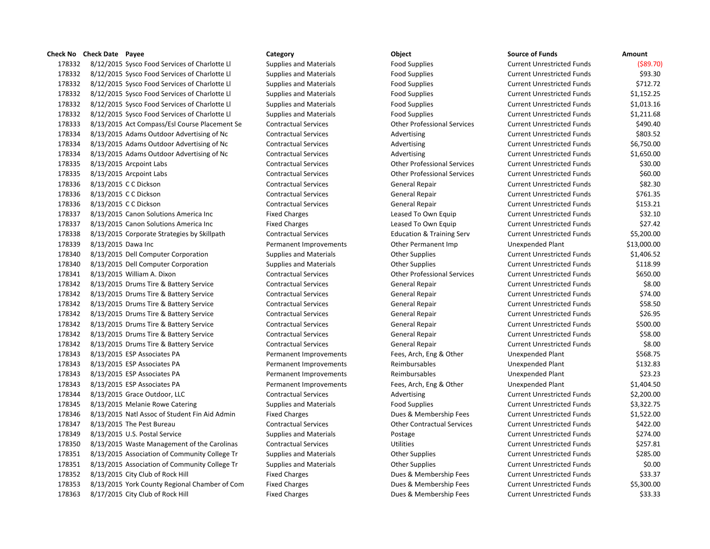## **Check No Check Date Payee Category Category Check No Check Date Object**

178332 8/12/2015 Sysco Food Services of Charlotte Ll Supplies and Materials Food Supplies 178332 8/12/2015 Sysco Food Services of Charlotte Ll Supplies and Materials Food Supplies 178332 8/12/2015 Sysco Food Services of Charlotte Ll Supplies and Materials Food Supplies 178332 8/12/2015 Sysco Food Services of Charlotte Ll Supplies and Materials Food Supplies 178332 8/12/2015 Sysco Food Services of Charlotte Ll Supplies and Materials Food Supplies 178332 8/12/2015 Sysco Food Services of Charlotte Ll Supplies and Materials Food Supplies 178333 8/13/2015 Act Compass/Esl Course Placement Se Contractual Services Other Professional Services 178334 8/13/2015 Adams Outdoor Advertising of Nc Contractual Services Advertising Advertising 178334 8/13/2015 Adams Outdoor Advertising of Nc Contractual Services Current Advertising 178334 8/13/2015 Adams Outdoor Advertising of Nc Contractual Services Advertising Advertising 178335 8/13/2015 Arcpoint Labs Contractual Services Current Current Current Units Services Current Unrestricted Funds & Solomon Services Current Units Services Current Unrestricted Funds \$30.000 Unrestricted Funds \$30.000 178335 8/13/2015 Arcpoint Labs Contractual Services Current United Services Current Unrestricted Funds & Current Unrestricted Funds \$60.000 Millions \$60.000 Millions \$60.000 Millions \$60.000 Millions \$60.000 Millions \$60.0 178336 8/13/2015 C C Dickson Contractual Services General Repair Current Unrestricted Funds \$82.30 178336 8/13/2015 CC Dickson Contractual Services General Repair Current Unrestricted Funds \$761.35 178336 8/13/2015 CC Dickson Contractual Services General Repair Current Unrestricted Funds \$153.21 178337 8/13/2015 Canon Solutions America Inc Fixed Charges Fixed Charges Leased To Own Equip 178337 8/13/2015 Canon Solutions America Inc Fixed Charges Fixed Charges Leased To Own Equip 178338 8/13/2015 Corporate Strategies by Skillpath Contractual Services Education & Training Serv 178339 8/13/2015 Dawa Inc **Permanent Improvements** Other Permanent Imp 178340 8/13/2015 Dell Computer Corporation Supplies and Materials Current Current Current Unrestricted Funds & 178340 8/13/2015 Dell Computer Corporation Supplies and Materials Current Current Current Unrestricted Funds & 178341 8/13/2015 William A. Dixon Contractual Services Contractual Services Current Current Unrestricted Funds 178342 8/13/2015 Drums Tire & Battery Service Contractual Services General Repair 178342 8/13/2015 Drums Tire & Battery Service Contractual Services General Repair 178342 8/13/2015 Drums Tire & Battery Service Contractual Services General Repair 178342 8/13/2015 Drums Tire & Battery Service Contractual Services General Repair 178342 8/13/2015 Drums Tire & Battery Service Contractual Services General Repair 178342 8/13/2015 Drums Tire & Battery Service Contractual Services General Repair 178342 8/13/2015 Drums Tire & Battery Service Contractual Services General Repair 178343 8/13/2015 ESP Associates PA **Permanent Improvements** Fees, Arch, Eng & Other Conserverse Plant \$568.756 178343 8/13/2015 ESP Associates PA **Permanent Improvements** Reimbursables 178343 8/13/2015 ESP Associates PA **Permanent Improvements** Reimbursables 178343 8/13/2015 ESP Associates PA **Permanent Improvements** Fees, Arch, Eng & Other 178344 8/13/2015 Grace Outdoor, LLC Contractual Services Advertising Advertising 178345 8/13/2015 Melanie Rowe Catering Supplies and Materials Food Supplies Food Supplies 178346 8/13/2015 Natl Assoc of Student Fin Aid Admin Fixed Charges Funds bues & Membership Fees 178347 8/13/2015 The Pest Bureau Contractual Services Contractual Services Current Unrestricted Funds \$422.000 178349 8/13/2015 U.S. Postal Service Supplies and Materials Postage Postage Current Unrestricted Funds \$274.00 178350 8/13/2015 Waste Management of the Carolinas Contractual Services Current Utilities 178351 8/13/2015 Association of Community College Tr Supplies and Materials Current Current Cupplies 178351 8/13/2015 Association of Community College Tr Supplies and Materials Current Current Current Current Current Current Current Current Current Current Current Current Current Current Current Current Current Current Cu 178352 8/13/2015 City Club of Rock Hill Fixed Charges Fixed Charges Dues & Membership Fees 178353 8/13/2015 York County Regional Chamber of Com Fixed Charges Dues & Membership Fees 178363 8/17/2015 City Club of Rock Hill Fixed Charges Fixed Charges Dues & Membership Fees Current Unrestricted Funds

| Source of Funds                   | Amount      |
|-----------------------------------|-------------|
| <b>Current Unrestricted Funds</b> | ( \$89.70)  |
| <b>Current Unrestricted Funds</b> | \$93.30     |
| <b>Current Unrestricted Funds</b> | \$712.72    |
| <b>Current Unrestricted Funds</b> | \$1,152.25  |
| <b>Current Unrestricted Funds</b> | \$1,013.16  |
| <b>Current Unrestricted Funds</b> | \$1,211.68  |
| <b>Current Unrestricted Funds</b> | \$490.40    |
| <b>Current Unrestricted Funds</b> | \$803.52    |
| <b>Current Unrestricted Funds</b> | \$6,750.00  |
| <b>Current Unrestricted Funds</b> | \$1,650.00  |
| <b>Current Unrestricted Funds</b> | \$30.00     |
| <b>Current Unrestricted Funds</b> | \$60.00     |
| <b>Current Unrestricted Funds</b> | \$82.30     |
| <b>Current Unrestricted Funds</b> | \$761.35    |
| <b>Current Unrestricted Funds</b> | \$153.21    |
| <b>Current Unrestricted Funds</b> | \$32.10     |
| <b>Current Unrestricted Funds</b> | \$27.42     |
| <b>Current Unrestricted Funds</b> | \$5,200.00  |
| <b>Unexpended Plant</b>           | \$13,000.00 |
| <b>Current Unrestricted Funds</b> | \$1,406.52  |
| <b>Current Unrestricted Funds</b> | \$118.99    |
| <b>Current Unrestricted Funds</b> | \$650.00    |
| <b>Current Unrestricted Funds</b> | \$8.00      |
| <b>Current Unrestricted Funds</b> | \$74.00     |
| <b>Current Unrestricted Funds</b> | \$58.50     |
| <b>Current Unrestricted Funds</b> | \$26.95     |
| <b>Current Unrestricted Funds</b> | \$500.00    |
| <b>Current Unrestricted Funds</b> | \$58.00     |
| <b>Current Unrestricted Funds</b> | \$8.00      |
| <b>Unexpended Plant</b>           | \$568.75    |
| <b>Unexpended Plant</b>           | \$132.83    |
| <b>Unexpended Plant</b>           | \$23.23     |
| <b>Unexpended Plant</b>           | \$1,404.50  |
| <b>Current Unrestricted Funds</b> | \$2,200.00  |
| <b>Current Unrestricted Funds</b> | \$3,322.75  |
| <b>Current Unrestricted Funds</b> | \$1,522.00  |
| <b>Current Unrestricted Funds</b> | \$422.00    |
| <b>Current Unrestricted Funds</b> | \$274.00    |
| <b>Current Unrestricted Funds</b> | \$257.81    |
| <b>Current Unrestricted Funds</b> | \$285.00    |
| <b>Current Unrestricted Funds</b> | \$0.00      |
| <b>Current Unrestricted Funds</b> | \$33.37     |
| <b>Current Unrestricted Funds</b> | \$5,300.00  |
| Current Unrestricted Funds        | ८२२ २२      |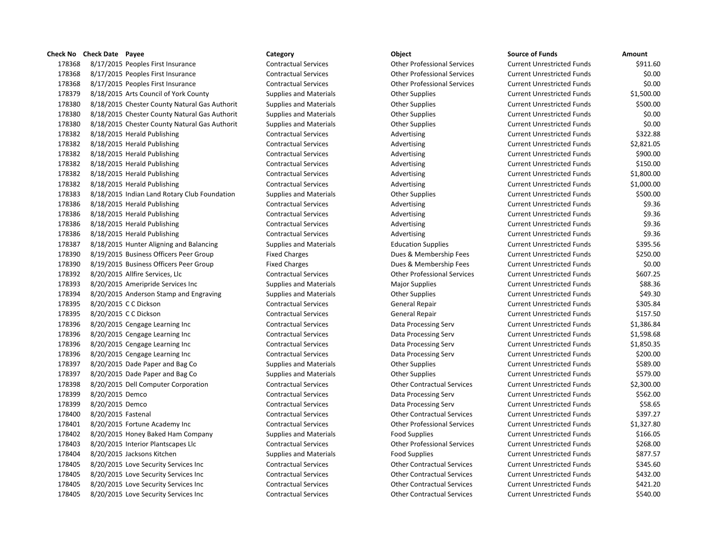8/17/2015 Peoples First Insurance Contractual Services Other Professional Services Current Unrestricted Funds \$911.60 8/17/2015 Peoples First Insurance Contractual Services Other Professional Services Current Unrestricted Funds \$0.00 8/17/2015 Peoples First Insurance Contractual Services Other Professional Services Current Unrestricted Funds \$0.00 8/18/2015 Arts Council of York County Supplies and Materials Other Supplies Current Unrestricted Funds \$1,500.00 8/18/2015 Chester County Natural Gas Authorit Supplies and Materials Other Supplies Current Unrestricted Funds \$500.00 8/18/2015 Chester County Natural Gas Authorit Supplies and Materials Other Supplies Current Unrestricted Funds \$0.00 8/18/2015 Chester County Natural Gas Authorit Supplies and Materials Other Supplies Current Unrestricted Funds \$0.00 178382 8/18/2015 Herald Publishing Contractual Services Advertising Current Unrestricted Funds \$322.88 178382 8/18/2015 Herald Publishing Contractual Services Advertising Current Unrestricted Funds \$2,821.05 178382 8/18/2015 Herald Publishing Contractual Services Advertising Current Unrestricted Funds \$900.00 178382 8/18/2015 Herald Publishing The Superint Contractual Services Advertising Current Unrestricted Funds \$150.00 178382 8/18/2015 Herald Publishing Contractual Services Advertising Current Unrestricted Funds \$1,800.00 178382 8/18/2015 Herald Publishing Contractual Services Advertising Advertising Current Unrestricted Funds \$1,000.00 8/18/2015 Indian Land Rotary Club Foundation Supplies and Materials Other Supplies Current Unrestricted Funds \$500.00 178386 8/18/2015 Herald Publishing The Supervices Contractual Services Advertising Current Unrestricted Funds \$9.36 178386 8/18/2015 Herald Publishing The Contractual Services Advertising Current Unrestricted Funds \$9.36 178386 8/18/2015 Herald Publishing The Supervices Contractual Services Advertising Current Unrestricted Funds \$9.36 178386 8/18/2015 Herald Publishing The Supervices Contractual Services Advertising Current Unrestricted Funds \$9.36 178387 8/18/2015 Hunter Aligning and Balancing Supplies and Materials Education Supplies Current Unrestricted Funds \$395.56 8/19/2015 Business Officers Peer Group Fixed Charges Dues & Membership Fees Current Unrestricted Funds \$250.00 8/19/2015 Business Officers Peer Group Fixed Charges Dues & Membership Fees Current Unrestricted Funds \$0.00 8/20/2015 Allfire Services, Llc Contractual Services Other Professional Services Current Unrestricted Funds \$607.25 8/20/2015 Ameripride Services Inc Supplies and Materials Major Supplies Current Unrestricted Funds \$88.36 178394 8/20/2015 Anderson Stamp and Engraving Supplies and Materials Component Supplies Current Unrestricted Funds \$49.30 178395 8/20/2015 CC Dickson Contractual Services General Repair Current Unrestricted Funds \$305.84 178395 8/20/2015 C C Dickson Contractual Services General Repair Current Unrestricted Funds \$157.50 8/20/2015 Cengage Learning Inc Contractual Services Data Processing Serv Current Unrestricted Funds \$1,386.84 8/20/2015 Cengage Learning Inc Contractual Services Data Processing Serv Current Unrestricted Funds \$1,598.68 8/20/2015 Cengage Learning Inc Contractual Services Data Processing Serv Current Unrestricted Funds \$1,850.35 8/20/2015 Cengage Learning Inc Contractual Services Data Processing Serv Current Unrestricted Funds \$200.00 8/20/2015 Dade Paper and Bag Co Supplies and Materials Other Supplies Current Unrestricted Funds \$589.00 8/20/2015 Dade Paper and Bag Co Supplies and Materials Other Supplies Current Unrestricted Funds \$579.00 8/20/2015 Dell Computer Corporation Contractual Services Other Contractual Services Current Unrestricted Funds \$2,300.00 8/20/2015 Demco Contractual Services Data Processing Serv Current Unrestricted Funds \$562.00 8/20/2015 Demco Contractual Services Data Processing Serv Current Unrestricted Funds \$58.65 8/20/2015 Fastenal Contractual Services Other Contractual Services Current Unrestricted Funds \$397.27 8/20/2015 Fortune Academy Inc Contractual Services Other Professional Services Current Unrestricted Funds \$1,327.80 178402 8/20/2015 Honey Baked Ham Company Supplies and Materials Food Supplies Current Unrestricted Funds \$166.05 8/20/2015 Interior Plantscapes Llc Contractual Services Other Professional Services Current Unrestricted Funds \$268.00 178404 8/20/2015 Jacksons Kitchen Supplies and Materials Food Supplies Food Supplies Current Unrestricted Funds \$877.57 8/20/2015 Love Security Services Inc Contractual Services Other Contractual Services Current Unrestricted Funds \$345.60 8/20/2015 Love Security Services Inc Contractual Services Other Contractual Services Current Unrestricted Funds \$432.00 8/20/2015 Love Security Services Inc Contractual Services Other Contractual Services Current Unrestricted Funds \$421.20 8/20/2015 Love Security Services Inc Contractual Services Other Contractual Services Current Unrestricted Funds \$540.00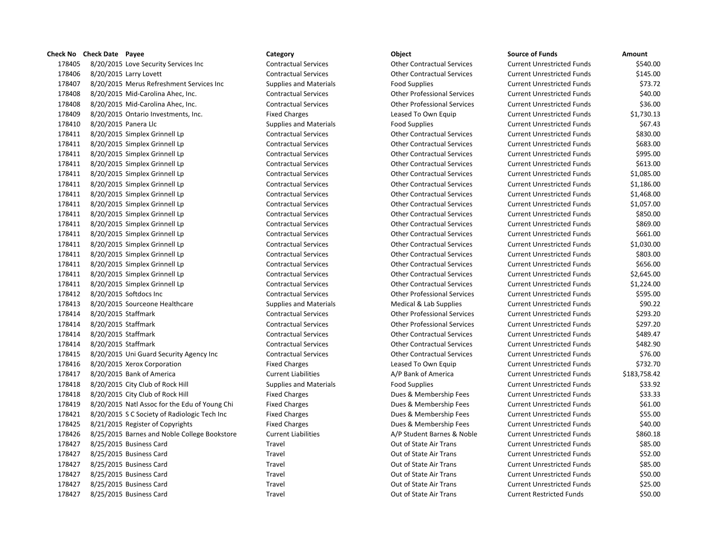8/20/2015 Love Security Services Inc Contractual Services Other Contractual Services Current Unrestricted Funds \$540.00 8/20/2015 Larry Lovett Contractual Services Other Contractual Services Current Unrestricted Funds \$145.00 8/20/2015 Merus Refreshment Services Inc Supplies and Materials Food Supplies Current Unrestricted Funds \$73.72 8/20/2015 Mid-Carolina Ahec, Inc. Contractual Services Other Professional Services Current Unrestricted Funds \$40.00 8/20/2015 Mid-Carolina Ahec, Inc. Contractual Services Other Professional Services Current Unrestricted Funds \$36.00 8/20/2015 Ontario Investments, Inc. Fixed Charges Leased To Own Equip Current Unrestricted Funds \$1,730.13 178410 8/20/2015 Panera Llc Supplies and Materials Food Supplies Food Supplies Current Unrestricted Funds \$67.43 8/20/2015 Simplex Grinnell Lp Contractual Services Other Contractual Services Current Unrestricted Funds \$830.00 8/20/2015 Simplex Grinnell Lp Contractual Services Other Contractual Services Current Unrestricted Funds \$683.00 8/20/2015 Simplex Grinnell Lp Contractual Services Other Contractual Services Current Unrestricted Funds \$995.00 8/20/2015 Simplex Grinnell Lp Contractual Services Other Contractual Services Current Unrestricted Funds \$613.00 8/20/2015 Simplex Grinnell Lp Contractual Services Other Contractual Services Current Unrestricted Funds \$1,085.00 8/20/2015 Simplex Grinnell Lp Contractual Services Other Contractual Services Current Unrestricted Funds \$1,186.00 8/20/2015 Simplex Grinnell Lp Contractual Services Other Contractual Services Current Unrestricted Funds \$1,468.00 8/20/2015 Simplex Grinnell Lp Contractual Services Other Contractual Services Current Unrestricted Funds \$1,057.00 8/20/2015 Simplex Grinnell Lp Contractual Services Other Contractual Services Current Unrestricted Funds \$850.00 8/20/2015 Simplex Grinnell Lp Contractual Services Other Contractual Services Current Unrestricted Funds \$869.00 8/20/2015 Simplex Grinnell Lp Contractual Services Other Contractual Services Current Unrestricted Funds \$661.00 8/20/2015 Simplex Grinnell Lp Contractual Services Other Contractual Services Current Unrestricted Funds \$1,030.00 8/20/2015 Simplex Grinnell Lp Contractual Services Other Contractual Services Current Unrestricted Funds \$803.00 8/20/2015 Simplex Grinnell Lp Contractual Services Other Contractual Services Current Unrestricted Funds \$656.00 8/20/2015 Simplex Grinnell Lp Contractual Services Other Contractual Services Current Unrestricted Funds \$2,645.00 8/20/2015 Simplex Grinnell Lp Contractual Services Other Contractual Services Current Unrestricted Funds \$1,224.00 8/20/2015 Softdocs Inc Contractual Services Other Professional Services Current Unrestricted Funds \$595.00 178413 8/20/2015 Sourceone Healthcare Supplies and Materials Medical & Lab Supplies Current Unrestricted Funds \$90.22 8/20/2015 Staffmark Contractual Services Other Professional Services Current Unrestricted Funds \$293.20 8/20/2015 Staffmark Contractual Services Other Professional Services Current Unrestricted Funds \$297.20 8/20/2015 Staffmark Contractual Services Other Contractual Services Current Unrestricted Funds \$489.47 8/20/2015 Staffmark Contractual Services Other Contractual Services Current Unrestricted Funds \$482.90 8/20/2015 Uni Guard Security Agency Inc Contractual Services Other Contractual Services Current Unrestricted Funds \$76.00 8/20/2015 Xerox Corporation Fixed Charges Leased To Own Equip Current Unrestricted Funds \$732.70 8/20/2015 Bank of America Current Liabilities A/P Bank of America Current Unrestricted Funds \$183,758.42 8/20/2015 City Club of Rock Hill Supplies and Materials Food Supplies Current Unrestricted Funds \$33.92 8/20/2015 City Club of Rock Hill Fixed Charges Dues & Membership Fees Current Unrestricted Funds \$33.33 8/20/2015 Natl Assoc for the Edu of Young Chi Fixed Charges Dues & Membership Fees Current Unrestricted Funds \$61.00 8/20/2015 S C Society of Radiologic Tech Inc Fixed Charges Dues & Membership Fees Current Unrestricted Funds \$55.00 8/21/2015 Register of Copyrights Fixed Charges Dues & Membership Fees Current Unrestricted Funds \$40.00 178426 8/25/2015 Barnes and Noble College Bookstore Current Liabilities Current A/P Student Barnes & Noble Current Unrestricted Funds \$860.18 8/25/2015 Business Card Travel Out of State Air Trans Current Unrestricted Funds \$85.00 8/25/2015 Business Card Travel Out of State Air Trans Current Unrestricted Funds \$52.00 178427 8/25/2015 Business Card Travel Travel Travel Current Out of State Air Trans Current Unrestricted Funds \$85.00 8/25/2015 Business Card Travel Out of State Air Trans Current Unrestricted Funds \$50.00 8/25/2015 Business Card Travel Out of State Air Trans Current Unrestricted Funds \$25.00

8/25/2015 Business Card Travel Out of State Air Trans Current Restricted Funds \$50.00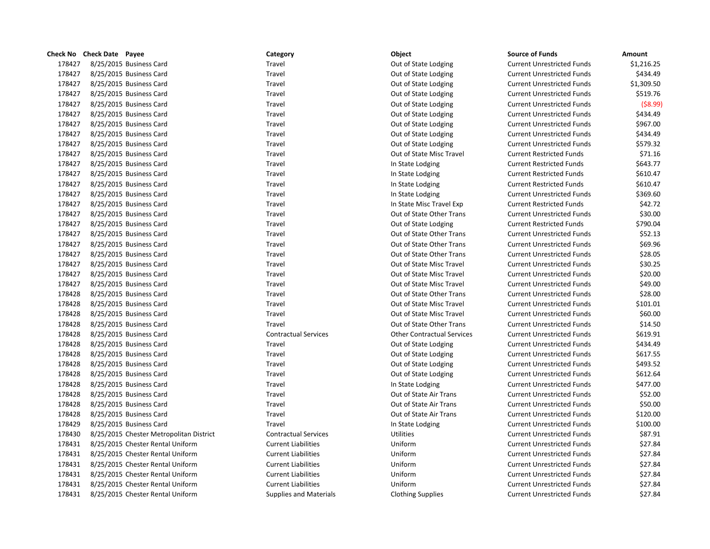|        | Check No Check Date Payee               | Category                      | Object                            | <b>Source of Funds</b>            | Amount     |
|--------|-----------------------------------------|-------------------------------|-----------------------------------|-----------------------------------|------------|
| 178427 | 8/25/2015 Business Card                 | Travel                        | Out of State Lodging              | <b>Current Unrestricted Funds</b> | \$1,216.25 |
| 178427 | 8/25/2015 Business Card                 | Travel                        | Out of State Lodging              | <b>Current Unrestricted Funds</b> | \$434.49   |
| 178427 | 8/25/2015 Business Card                 | Travel                        | Out of State Lodging              | <b>Current Unrestricted Funds</b> | \$1,309.50 |
| 178427 | 8/25/2015 Business Card                 | Travel                        | Out of State Lodging              | <b>Current Unrestricted Funds</b> | \$519.76   |
| 178427 | 8/25/2015 Business Card                 | Travel                        | Out of State Lodging              | <b>Current Unrestricted Funds</b> | (58.99)    |
| 178427 | 8/25/2015 Business Card                 | Travel                        | Out of State Lodging              | <b>Current Unrestricted Funds</b> | \$434.49   |
| 178427 | 8/25/2015 Business Card                 | Travel                        | Out of State Lodging              | <b>Current Unrestricted Funds</b> | \$967.00   |
| 178427 | 8/25/2015 Business Card                 | Travel                        | Out of State Lodging              | <b>Current Unrestricted Funds</b> | \$434.49   |
| 178427 | 8/25/2015 Business Card                 | Travel                        | Out of State Lodging              | <b>Current Unrestricted Funds</b> | \$579.32   |
| 178427 | 8/25/2015 Business Card                 | Travel                        | Out of State Misc Travel          | <b>Current Restricted Funds</b>   | \$71.16    |
| 178427 | 8/25/2015 Business Card                 | Travel                        | In State Lodging                  | <b>Current Restricted Funds</b>   | \$643.77   |
| 178427 | 8/25/2015 Business Card                 | Travel                        | In State Lodging                  | <b>Current Restricted Funds</b>   | \$610.47   |
| 178427 | 8/25/2015 Business Card                 | Travel                        | In State Lodging                  | <b>Current Restricted Funds</b>   | \$610.47   |
| 178427 | 8/25/2015 Business Card                 | Travel                        | In State Lodging                  | <b>Current Unrestricted Funds</b> | \$369.60   |
| 178427 | 8/25/2015 Business Card                 | Travel                        | In State Misc Travel Exp          | <b>Current Restricted Funds</b>   | \$42.72    |
| 178427 | 8/25/2015 Business Card                 | Travel                        | Out of State Other Trans          | <b>Current Unrestricted Funds</b> | \$30.00    |
| 178427 | 8/25/2015 Business Card                 | Travel                        | Out of State Lodging              | <b>Current Restricted Funds</b>   | \$790.04   |
| 178427 | 8/25/2015 Business Card                 | Travel                        | Out of State Other Trans          | <b>Current Unrestricted Funds</b> | \$52.13    |
| 178427 | 8/25/2015 Business Card                 | Travel                        | Out of State Other Trans          | <b>Current Unrestricted Funds</b> | \$69.96    |
| 178427 | 8/25/2015 Business Card                 | Travel                        | Out of State Other Trans          | <b>Current Unrestricted Funds</b> | \$28.05    |
| 178427 | 8/25/2015 Business Card                 | Travel                        | Out of State Misc Travel          | <b>Current Unrestricted Funds</b> | \$30.25    |
| 178427 | 8/25/2015 Business Card                 | Travel                        | Out of State Misc Travel          | <b>Current Unrestricted Funds</b> | \$20.00    |
| 178427 | 8/25/2015 Business Card                 | Travel                        | Out of State Misc Travel          | <b>Current Unrestricted Funds</b> | \$49.00    |
| 178428 | 8/25/2015 Business Card                 | Travel                        | Out of State Other Trans          | <b>Current Unrestricted Funds</b> | \$28.00    |
| 178428 | 8/25/2015 Business Card                 | Travel                        | Out of State Misc Travel          | <b>Current Unrestricted Funds</b> | \$101.01   |
| 178428 | 8/25/2015 Business Card                 | Travel                        | Out of State Misc Travel          | <b>Current Unrestricted Funds</b> | \$60.00    |
| 178428 | 8/25/2015 Business Card                 | Travel                        | Out of State Other Trans          | <b>Current Unrestricted Funds</b> | \$14.50    |
| 178428 | 8/25/2015 Business Card                 | <b>Contractual Services</b>   | <b>Other Contractual Services</b> | <b>Current Unrestricted Funds</b> | \$619.91   |
| 178428 | 8/25/2015 Business Card                 | Travel                        | Out of State Lodging              | <b>Current Unrestricted Funds</b> | \$434.49   |
| 178428 | 8/25/2015 Business Card                 | Travel                        | Out of State Lodging              | <b>Current Unrestricted Funds</b> | \$617.55   |
| 178428 | 8/25/2015 Business Card                 | Travel                        | Out of State Lodging              | <b>Current Unrestricted Funds</b> | \$493.52   |
| 178428 | 8/25/2015 Business Card                 | Travel                        | Out of State Lodging              | <b>Current Unrestricted Funds</b> | \$612.64   |
| 178428 | 8/25/2015 Business Card                 | Travel                        | In State Lodging                  | <b>Current Unrestricted Funds</b> | \$477.00   |
| 178428 | 8/25/2015 Business Card                 | Travel                        | Out of State Air Trans            | <b>Current Unrestricted Funds</b> | \$52.00    |
| 178428 | 8/25/2015 Business Card                 | Travel                        | Out of State Air Trans            | <b>Current Unrestricted Funds</b> | \$50.00    |
| 178428 | 8/25/2015 Business Card                 | Travel                        | Out of State Air Trans            | <b>Current Unrestricted Funds</b> | \$120.00   |
| 178429 | 8/25/2015 Business Card                 | Travel                        | In State Lodging                  | <b>Current Unrestricted Funds</b> | \$100.00   |
| 178430 | 8/25/2015 Chester Metropolitan District | <b>Contractual Services</b>   | <b>Utilities</b>                  | <b>Current Unrestricted Funds</b> | \$87.91    |
| 178431 | 8/25/2015 Chester Rental Uniform        | <b>Current Liabilities</b>    | Uniform                           | <b>Current Unrestricted Funds</b> | \$27.84    |
| 178431 | 8/25/2015 Chester Rental Uniform        | <b>Current Liabilities</b>    | Uniform                           | <b>Current Unrestricted Funds</b> | \$27.84    |
| 178431 | 8/25/2015 Chester Rental Uniform        | <b>Current Liabilities</b>    | Uniform                           | <b>Current Unrestricted Funds</b> | \$27.84    |
| 178431 | 8/25/2015 Chester Rental Uniform        | <b>Current Liabilities</b>    | Uniform                           | <b>Current Unrestricted Funds</b> | \$27.84    |
| 178431 | 8/25/2015 Chester Rental Uniform        | <b>Current Liabilities</b>    | Uniform                           | <b>Current Unrestricted Funds</b> | \$27.84    |
| 178431 | 8/25/2015 Chester Rental Uniform        | <b>Supplies and Materials</b> | <b>Clothing Supplies</b>          | <b>Current Unrestricted Funds</b> | \$27.84    |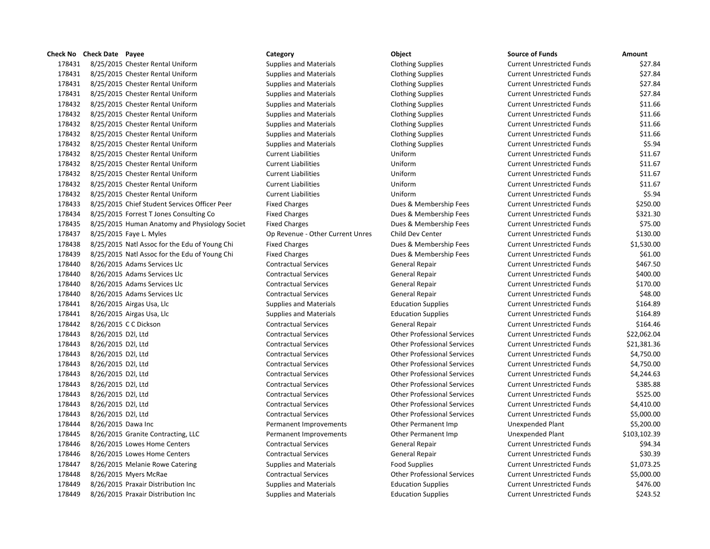# 8/25/2015 Chester Rental Uniform Supplies and Materials Clothing Supplies Current Unrestricted Funds \$27.84 8/25/2015 Chester Rental Uniform Supplies and Materials Clothing Supplies Current Unrestricted Funds \$27.84 8/25/2015 Chester Rental Uniform Supplies and Materials Clothing Supplies Current Unrestricted Funds \$27.84 8/25/2015 Chester Rental Uniform Supplies and Materials Clothing Supplies Current Unrestricted Funds \$27.84 8/25/2015 Chester Rental Uniform Supplies and Materials Clothing Supplies Current Unrestricted Funds \$11.66 8/25/2015 Chester Rental Uniform Supplies and Materials Clothing Supplies Current Unrestricted Funds \$11.66 8/25/2015 Chester Rental Uniform Supplies and Materials Clothing Supplies Current Unrestricted Funds \$11.66 8/25/2015 Chester Rental Uniform Supplies and Materials Clothing Supplies Current Unrestricted Funds \$11.66 8/25/2015 Chester Rental Uniform Supplies and Materials Clothing Supplies Current Unrestricted Funds \$5.94 8/25/2015 Chester Rental Uniform Current Liabilities Uniform Current Unrestricted Funds \$11.67 8/25/2015 Chester Rental Uniform Current Liabilities Uniform Current Unrestricted Funds \$11.67 8/25/2015 Chester Rental Uniform Current Liabilities Uniform Current Unrestricted Funds \$11.67 8/25/2015 Chester Rental Uniform Current Liabilities Uniform Current Unrestricted Funds \$11.67 8/25/2015 Chester Rental Uniform Current Liabilities Uniform Current Unrestricted Funds \$5.94 8/25/2015 Chief Student Services Officer Peer Fixed Charges Dues & Membership Fees Current Unrestricted Funds \$250.00 8/25/2015 Forrest T Jones Consulting Co Fixed Charges Dues & Membership Fees Current Unrestricted Funds \$321.30 178435 8/25/2015 Human Anatomy and Physiology Societ Fixed Charges Dues & Membership Fees Current Unrestricted Funds \$75.00 8/25/2015 Faye L. Myles Op Revenue - Other Current Unres Child Dev Center Current Unrestricted Funds \$130.00 8/25/2015 Natl Assoc for the Edu of Young Chi Fixed Charges Dues & Membership Fees Current Unrestricted Funds \$1,530.00 178439 8/25/2015 Natl Assoc for the Edu of Young Chi Fixed Charges Dues & Membership Fees Current Unrestricted Funds \$61.00 178440 8/26/2015 Adams Services Llc Contractual Services General Repair Current Unrestricted Funds \$467.50 8/26/2015 Adams Services Llc Contractual Services General Repair Current Unrestricted Funds \$400.00 8/26/2015 Adams Services Llc Contractual Services General Repair Current Unrestricted Funds \$170.00 8/26/2015 Adams Services Llc Contractual Services General Repair Current Unrestricted Funds \$48.00 8/26/2015 Airgas Usa, Llc Supplies and Materials Education Supplies Current Unrestricted Funds \$164.89 178441 8/26/2015 Airgas Usa, Llc Supplies and Materials Education Supplies Current Unrestricted Funds \$164.89 8/26/2015 C C Dickson Contractual Services General Repair Current Unrestricted Funds \$164.46 8/26/2015 D2l, Ltd Contractual Services Other Professional Services Current Unrestricted Funds \$22,062.04 8/26/2015 D2l, Ltd Contractual Services Other Professional Services Current Unrestricted Funds \$21,381.36 8/26/2015 D2l, Ltd Contractual Services Other Professional Services Current Unrestricted Funds \$4,750.00 8/26/2015 D2l, Ltd Contractual Services Other Professional Services Current Unrestricted Funds \$4,750.00 8/26/2015 D2l, Ltd Contractual Services Other Professional Services Current Unrestricted Funds \$4,244.63 8/26/2015 D2l, Ltd Contractual Services Other Professional Services Current Unrestricted Funds \$385.88 8/26/2015 D2l, Ltd Contractual Services Other Professional Services Current Unrestricted Funds \$525.00 8/26/2015 D2l, Ltd Contractual Services Other Professional Services Current Unrestricted Funds \$4,410.00 8/26/2015 D2l, Ltd Contractual Services Other Professional Services Current Unrestricted Funds \$5,000.00 178444 8/26/2015 Dawa Inc **Same Accord Permanent Improvements** Other Permanent Imp Unexpended Plant \$5,200.00 8/26/2015 Granite Contracting, LLC Permanent Improvements Other Permanent Imp Unexpended Plant \$103,102.39 8/26/2015 Lowes Home Centers Contractual Services General Repair Current Unrestricted Funds \$94.34 8/26/2015 Lowes Home Centers Contractual Services General Repair Current Unrestricted Funds \$30.39 8/26/2015 Melanie Rowe Catering Supplies and Materials Food Supplies Current Unrestricted Funds \$1,073.25 8/26/2015 Myers McRae Contractual Services Other Professional Services Current Unrestricted Funds \$5,000.00 8/26/2015 Praxair Distribution Inc Supplies and Materials Education Supplies Current Unrestricted Funds \$476.00

# **Check No Check Date Payee Category Object Source of Funds Amount** 8/26/2015 Praxair Distribution Inc Supplies and Materials Education Supplies Current Unrestricted Funds \$243.52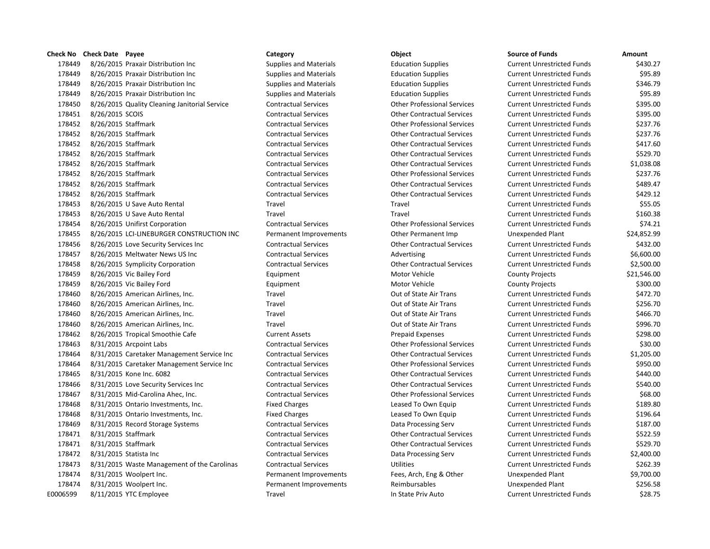8/26/2015 Praxair Distribution Inc Supplies and Materials Education Supplies Current Unrestricted Funds \$430.27 8/26/2015 Praxair Distribution Inc Supplies and Materials Education Supplies Current Unrestricted Funds \$95.89 8/26/2015 Praxair Distribution Inc Supplies and Materials Education Supplies Current Unrestricted Funds \$346.79 8/26/2015 Praxair Distribution Inc Supplies and Materials Education Supplies Current Unrestricted Funds \$95.89 8/26/2015 Quality Cleaning Janitorial Service Contractual Services Other Professional Services Current Unrestricted Funds \$395.00 8/26/2015 SCOIS Contractual Services Other Contractual Services Current Unrestricted Funds \$395.00 8/26/2015 Staffmark Contractual Services Other Professional Services Current Unrestricted Funds \$237.76 8/26/2015 Staffmark Contractual Services Other Contractual Services Current Unrestricted Funds \$237.76 8/26/2015 Staffmark Contractual Services Other Contractual Services Current Unrestricted Funds \$417.60 8/26/2015 Staffmark Contractual Services Other Contractual Services Current Unrestricted Funds \$529.70 8/26/2015 Staffmark Contractual Services Other Contractual Services Current Unrestricted Funds \$1,038.08 8/26/2015 Staffmark Contractual Services Other Professional Services Current Unrestricted Funds \$237.76 8/26/2015 Staffmark Contractual Services Other Contractual Services Current Unrestricted Funds \$489.47 8/26/2015 Staffmark Contractual Services Other Contractual Services Current Unrestricted Funds \$429.12 8/26/2015 U Save Auto Rental Travel Travel Current Unrestricted Funds \$55.05 8/26/2015 U Save Auto Rental Travel Travel Current Unrestricted Funds \$160.38 8/26/2015 Unifirst Corporation Contractual Services Other Professional Services Current Unrestricted Funds \$74.21 8/26/2015 LCI-LINEBURGER CONSTRUCTION INC Permanent Improvements Other Permanent Imp Unexpended Plant \$24,852.99 8/26/2015 Love Security Services Inc Contractual Services Other Contractual Services Current Unrestricted Funds \$432.00 178457 8/26/2015 Meltwater News US Inc Contractual Services Advertising Current Unrestricted Funds \$6,600.00 8/26/2015 Symplicity Corporation Contractual Services Other Contractual Services Current Unrestricted Funds \$2,500.00 8/26/2015 Vic Bailey Ford Equipment Motor Vehicle County Projects \$21,546.00 8/26/2015 Vic Bailey Ford Equipment Motor Vehicle County Projects \$300.00 178460 8/26/2015 American Airlines, Inc. Travel Travel Current Unrestricted Funds \$472.70 178460 8/26/2015 American Airlines, Inc. Travel Travel Current Unrestricted Funds \$256.70 178460 8/26/2015 American Airlines. Inc. Travel Travel Current Out of State Air Trans Current Unrestricted Funds \$466.70 178460 8/26/2015 American Airlines, Inc. Travel Travel Current Unrestricted Funds \$996.70 8/26/2015 Tropical Smoothie Cafe Current Assets Prepaid Expenses Current Unrestricted Funds \$298.00 8/31/2015 Arcpoint Labs Contractual Services Other Professional Services Current Unrestricted Funds \$30.00 8/31/2015 Caretaker Management Service Inc Contractual Services Other Contractual Services Current Unrestricted Funds \$1,205.00 8/31/2015 Caretaker Management Service Inc Contractual Services Other Professional Services Current Unrestricted Funds \$950.00 8/31/2015 Kone Inc. 6082 Contractual Services Other Contractual Services Current Unrestricted Funds \$440.00 8/31/2015 Love Security Services Inc Contractual Services Other Contractual Services Current Unrestricted Funds \$540.00 8/31/2015 Mid-Carolina Ahec, Inc. Contractual Services Other Professional Services Current Unrestricted Funds \$68.00 178468 8/31/2015 Ontario Investments, Inc. The Same Fixed Charges Leased To Own Equip Current Unrestricted Funds \$189.80 178468 8/31/2015 Ontario Investments, Inc. The Fixed Charges Leased To Own Equip Current Unrestricted Funds \$196.64 8/31/2015 Record Storage Systems Contractual Services Data Processing Serv Current Unrestricted Funds \$187.00 8/31/2015 Staffmark Contractual Services Other Contractual Services Current Unrestricted Funds \$522.59 8/31/2015 Staffmark Contractual Services Other Contractual Services Current Unrestricted Funds \$529.70 8/31/2015 Statista Inc Contractual Services Data Processing Serv Current Unrestricted Funds \$2,400.00 8/31/2015 Waste Management of the Carolinas Contractual Services Utilities Current Unrestricted Funds \$262.39 8/31/2015 Woolpert Inc. Permanent Improvements Fees, Arch, Eng & Other Unexpended Plant \$9,700.00 8/31/2015 Woolpert Inc. Permanent Improvements Reimbursables Unexpended Plant \$256.58 E0006599 8/11/2015 YTC Employee Travel Travel Travel In State Priv Auto Current Unrestricted Funds \$28.75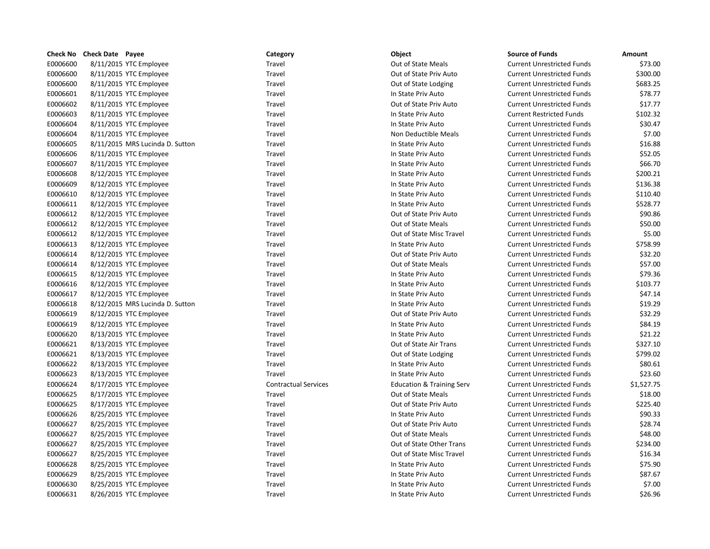|          | Check No Check Date Payee       | Category                    | Object                               | <b>Source of Funds</b>            | Amount     |
|----------|---------------------------------|-----------------------------|--------------------------------------|-----------------------------------|------------|
| E0006600 | 8/11/2015 YTC Employee          | Travel                      | Out of State Meals                   | <b>Current Unrestricted Funds</b> | \$73.00    |
| E0006600 | 8/11/2015 YTC Employee          | Travel                      | Out of State Priv Auto               | <b>Current Unrestricted Funds</b> | \$300.00   |
| E0006600 | 8/11/2015 YTC Employee          | Travel                      | Out of State Lodging                 | <b>Current Unrestricted Funds</b> | \$683.25   |
| E0006601 | 8/11/2015 YTC Employee          | Travel                      | In State Priv Auto                   | <b>Current Unrestricted Funds</b> | \$78.77    |
| E0006602 | 8/11/2015 YTC Employee          | Travel                      | Out of State Priv Auto               | <b>Current Unrestricted Funds</b> | \$17.77    |
| E0006603 | 8/11/2015 YTC Employee          | Travel                      | In State Priv Auto                   | <b>Current Restricted Funds</b>   | \$102.32   |
| E0006604 | 8/11/2015 YTC Employee          | Travel                      | In State Priv Auto                   | <b>Current Unrestricted Funds</b> | \$30.47    |
| E0006604 | 8/11/2015 YTC Employee          | Travel                      | Non Deductible Meals                 | <b>Current Unrestricted Funds</b> | \$7.00     |
| E0006605 | 8/11/2015 MRS Lucinda D. Sutton | Travel                      | In State Priv Auto                   | <b>Current Unrestricted Funds</b> | \$16.88    |
| E0006606 | 8/11/2015 YTC Employee          | Travel                      | In State Priv Auto                   | <b>Current Unrestricted Funds</b> | \$52.05    |
| E0006607 | 8/11/2015 YTC Employee          | Travel                      | In State Priv Auto                   | <b>Current Unrestricted Funds</b> | \$66.70    |
| E0006608 | 8/12/2015 YTC Employee          | Travel                      | In State Priv Auto                   | <b>Current Unrestricted Funds</b> | \$200.21   |
| E0006609 | 8/12/2015 YTC Employee          | Travel                      | In State Priv Auto                   | <b>Current Unrestricted Funds</b> | \$136.38   |
| E0006610 | 8/12/2015 YTC Employee          | Travel                      | In State Priv Auto                   | <b>Current Unrestricted Funds</b> | \$110.40   |
| E0006611 | 8/12/2015 YTC Employee          | Travel                      | In State Priv Auto                   | <b>Current Unrestricted Funds</b> | \$528.77   |
| E0006612 | 8/12/2015 YTC Employee          | Travel                      | Out of State Priv Auto               | <b>Current Unrestricted Funds</b> | \$90.86    |
| E0006612 | 8/12/2015 YTC Employee          | Travel                      | Out of State Meals                   | <b>Current Unrestricted Funds</b> | \$50.00    |
| E0006612 | 8/12/2015 YTC Employee          | Travel                      | Out of State Misc Travel             | <b>Current Unrestricted Funds</b> | \$5.00     |
| E0006613 | 8/12/2015 YTC Employee          | Travel                      | In State Priv Auto                   | <b>Current Unrestricted Funds</b> | \$758.99   |
| E0006614 | 8/12/2015 YTC Employee          | Travel                      | Out of State Priv Auto               | <b>Current Unrestricted Funds</b> | \$32.20    |
| E0006614 | 8/12/2015 YTC Employee          | Travel                      | Out of State Meals                   | <b>Current Unrestricted Funds</b> | \$57.00    |
| E0006615 | 8/12/2015 YTC Employee          | Travel                      | In State Priv Auto                   | <b>Current Unrestricted Funds</b> | \$79.36    |
| E0006616 | 8/12/2015 YTC Employee          | Travel                      | In State Priv Auto                   | <b>Current Unrestricted Funds</b> | \$103.77   |
| E0006617 | 8/12/2015 YTC Employee          | Travel                      | In State Priv Auto                   | <b>Current Unrestricted Funds</b> | \$47.14    |
| E0006618 | 8/12/2015 MRS Lucinda D. Sutton | Travel                      | In State Priv Auto                   | <b>Current Unrestricted Funds</b> | \$19.29    |
| E0006619 | 8/12/2015 YTC Employee          | Travel                      | Out of State Priv Auto               | <b>Current Unrestricted Funds</b> | \$32.29    |
| E0006619 | 8/12/2015 YTC Employee          | Travel                      | In State Priv Auto                   | <b>Current Unrestricted Funds</b> | \$84.19    |
| E0006620 | 8/13/2015 YTC Employee          | Travel                      | In State Priv Auto                   | <b>Current Unrestricted Funds</b> | \$21.22    |
| E0006621 | 8/13/2015 YTC Employee          | Travel                      | Out of State Air Trans               | <b>Current Unrestricted Funds</b> | \$327.10   |
| E0006621 | 8/13/2015 YTC Employee          | Travel                      | Out of State Lodging                 | <b>Current Unrestricted Funds</b> | \$799.02   |
| E0006622 | 8/13/2015 YTC Employee          | Travel                      | In State Priv Auto                   | <b>Current Unrestricted Funds</b> | \$80.61    |
| E0006623 | 8/13/2015 YTC Employee          | Travel                      | In State Priv Auto                   | <b>Current Unrestricted Funds</b> | \$23.60    |
| E0006624 | 8/17/2015 YTC Employee          | <b>Contractual Services</b> | <b>Education &amp; Training Serv</b> | <b>Current Unrestricted Funds</b> | \$1,527.75 |
| E0006625 | 8/17/2015 YTC Employee          | Travel                      | Out of State Meals                   | <b>Current Unrestricted Funds</b> | \$18.00    |
| E0006625 | 8/17/2015 YTC Employee          | Travel                      | Out of State Priv Auto               | <b>Current Unrestricted Funds</b> | \$225.40   |
| E0006626 | 8/25/2015 YTC Employee          | Travel                      | In State Priv Auto                   | <b>Current Unrestricted Funds</b> | \$90.33    |
| E0006627 | 8/25/2015 YTC Employee          | Travel                      | Out of State Priv Auto               | <b>Current Unrestricted Funds</b> | \$28.74    |
| E0006627 | 8/25/2015 YTC Employee          | Travel                      | Out of State Meals                   | <b>Current Unrestricted Funds</b> | \$48.00    |
| E0006627 | 8/25/2015 YTC Employee          | Travel                      | Out of State Other Trans             | <b>Current Unrestricted Funds</b> | \$234.00   |
| E0006627 | 8/25/2015 YTC Employee          | Travel                      | Out of State Misc Travel             | <b>Current Unrestricted Funds</b> | \$16.34    |
| E0006628 | 8/25/2015 YTC Employee          | Travel                      | In State Priv Auto                   | <b>Current Unrestricted Funds</b> | \$75.90    |
| E0006629 | 8/25/2015 YTC Employee          | Travel                      | In State Priv Auto                   | <b>Current Unrestricted Funds</b> | \$87.67    |
| E0006630 | 8/25/2015 YTC Employee          | Travel                      | In State Priv Auto                   | <b>Current Unrestricted Funds</b> | \$7.00     |
| E0006631 | 8/26/2015 YTC Employee          | Travel                      | In State Priv Auto                   | <b>Current Unrestricted Funds</b> | \$26.96    |